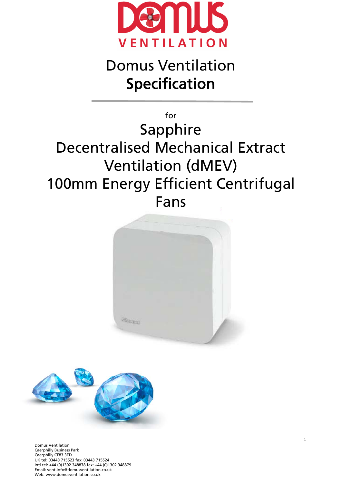

# Domus Ventilation Specification

# for Sapphire Decentralised Mechanical Extract Ventilation (dMEV) 100mm Energy Efficient Centrifugal Fans



1



Domus Ventilation Caerphilly Business Park Caerphilly CF83 3ED UK tel: 03443 715523 fax: 03443 715524 Intl tel: +44 (0)1302 348878 fax: +44 (0)1302 348879 Email: vent.info@domusventilation.co.uk Web: www.domusventilation.co.uk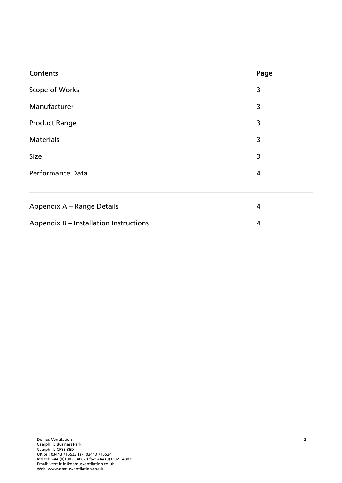| <b>Contents</b>            | Page |
|----------------------------|------|
| Scope of Works             | 3    |
| Manufacturer               | 3    |
| <b>Product Range</b>       | 3    |
| <b>Materials</b>           | 3    |
| <b>Size</b>                | 3    |
| <b>Performance Data</b>    | 4    |
|                            |      |
| Appendix A - Range Details | 4    |

Appendix B – Installation Instructions and the state of the 4

| <b>Domus Ventilation</b>                             |  |
|------------------------------------------------------|--|
| <b>Caerphilly Business Park</b>                      |  |
| Caerphilly CF83 3ED                                  |  |
| UK tel: 03443 715523 fax: 03443 715524               |  |
| Intl tel: +44 (0)1302 348878 fax: +44 (0)1302 348879 |  |
| Email: vent.info@domusventilation.co.uk              |  |
| Web: www.domusventilation.co.uk                      |  |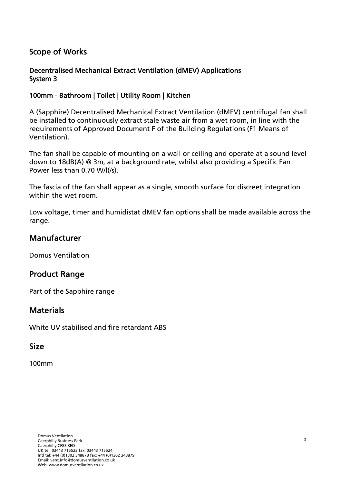### Scope of Works

#### Decentralised Mechanical Extract Ventilation (dMEV) Applications System 3

#### 100mm - Bathroom | Toilet | Utility Room | Kitchen

A (Sapphire) Decentralised Mechanical Extract Ventilation (dMEV) centrifugal fan shall be installed to continuously extract stale waste air from a wet room, in line with the requirements of Approved Document F of the Building Regulations (F1 Means of Ventilation).

The fan shall be capable of mounting on a wall or ceiling and operate at a sound level down to 18dB(A) @ 3m, at a background rate, whilst also providing a Specific Fan Power less than 0.70 W/l(/s).

The fascia of the fan shall appear as a single, smooth surface for discreet integration within the wet room.

Low voltage, timer and humidistat dMEV fan options shall be made available across the range.

#### Manufacturer

Domus Ventilation

### Product Range

Part of the Sapphire range

### **Materials**

White UV stabilised and fire retardant ABS

#### Size

100mm